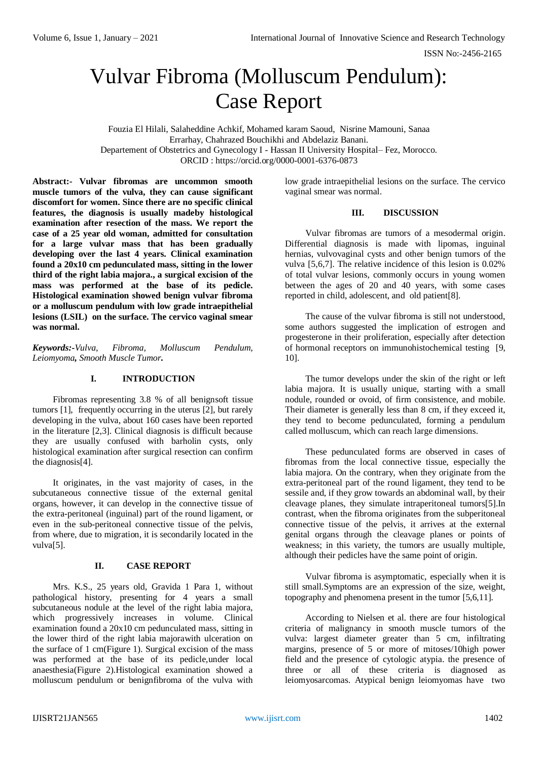# Vulvar Fibroma (Molluscum Pendulum): Case Report

Fouzia El Hilali, Salaheddine Achkif, Mohamed karam Saoud, Nisrine Mamouni, Sanaa Errarhay, Chahrazed Bouchikhi and Abdelaziz Banani. Departement of Obstetrics and Gynecology I - Hassan II University Hospital– Fez, Morocco. ORCID [: https://orcid.org/0000-0001-6376-0873](https://orcid.org/0000-0001-6376-0873)

**Abstract:- Vulvar fibromas are uncommon smooth muscle tumors of the vulva, they can cause significant discomfort for women. Since there are no specific clinical features, the diagnosis is usually madeby histological examination after resection of the mass. We report the case of a 25 year old woman, admitted for consultation for a large vulvar mass that has been gradually developing over the last 4 years. Clinical examination found a 20x10 cm pedunculated mass, sitting in the lower third of the right labia majora., a surgical excision of the mass was performed at the base of its pedicle. Histological examination showed benign vulvar fibroma or a molluscum pendulum with low grade intraepithelial lesions (LSIL) on the surface. The cervico vaginal smear was normal.** 

*Keywords:-Vulva, Fibroma, Molluscum Pendulum, Leiomyoma, Smooth Muscle Tumor.*

# **I. INTRODUCTION**

Fibromas representing 3.8 % of all benignsoft tissue tumors [1], frequently occurring in the uterus [2], but rarely developing in the vulva, about 160 cases have been reported in the literature [2,3]. Clinical diagnosis is difficult because they are usually confused with barholin cysts, only histological examination after surgical resection can confirm the diagnosis[4].

It originates, in the vast majority of cases, in the subcutaneous connective tissue of the external genital organs, however, it can develop in the connective tissue of the extra-peritoneal (inguinal) part of the round ligament, or even in the sub-peritoneal connective tissue of the pelvis, from where, due to migration, it is secondarily located in the vulva[5].

# **II. CASE REPORT**

Mrs. K.S., 25 years old, Gravida 1 Para 1, without pathological history, presenting for 4 years a small subcutaneous nodule at the level of the right labia majora, which progressively increases in volume. Clinical examination found a 20x10 cm pedunculated mass, sitting in the lower third of the right labia majorawith ulceration on the surface of 1 cm(Figure 1). Surgical excision of the mass was performed at the base of its pedicle,under local anaesthesia(Figure 2).Histological examination showed a molluscum pendulum or benignfibroma of the vulva with

low grade intraepithelial lesions on the surface. The cervico vaginal smear was normal.

#### **III. DISCUSSION**

Vulvar fibromas are tumors of a mesodermal origin. Differential diagnosis is made with lipomas, inguinal hernias, vulvovaginal cysts and other benign tumors of the vulva [5,6,7]. The relative incidence of this lesion is 0.02% of total vulvar lesions, commonly occurs in young women between the ages of 20 and 40 years, with some cases reported in child, adolescent, and old patient[8].

The cause of the vulvar fibroma is still not understood, some authors suggested the implication of estrogen and progesterone in their proliferation, especially after detection of hormonal receptors on immunohistochemical testing [9, 10].

The tumor develops under the skin of the right or left labia majora. It is usually unique, starting with a small nodule, rounded or ovoid, of firm consistence, and mobile. Their diameter is generally less than 8 cm, if they exceed it, they tend to become pedunculated, forming a pendulum called molluscum, which can reach large dimensions.

These pedunculated forms are observed in cases of fibromas from the local connective tissue, especially the labia majora. On the contrary, when they originate from the extra-peritoneal part of the round ligament, they tend to be sessile and, if they grow towards an abdominal wall, by their cleavage planes, they simulate intraperitoneal tumors[5].In contrast, when the fibroma originates from the subperitoneal connective tissue of the pelvis, it arrives at the external genital organs through the cleavage planes or points of weakness; in this variety, the tumors are usually multiple, although their pedicles have the same point of origin.

Vulvar fibroma is asymptomatic, especially when it is still small.Symptoms are an expression of the size, weight, topography and phenomena present in the tumor [5,6,11].

According to Nielsen et al. there are four histological criteria of malignancy in smooth muscle tumors of the vulva: largest diameter greater than 5 cm, infiltrating margins, presence of 5 or more of mitoses/10high power field and the presence of cytologic atypia. the presence of three or all of these criteria is diagnosed as leiomyosarcomas. Atypical benign leiomyomas have two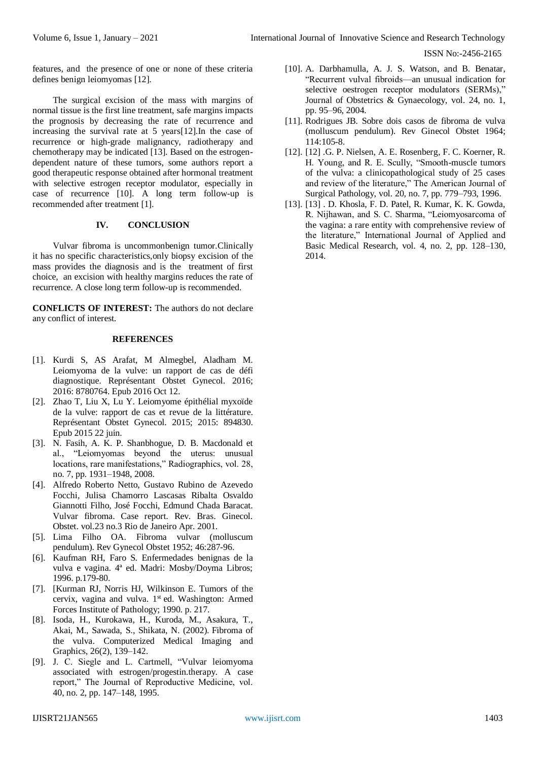ISSN No:-2456-2165

features, and the presence of one or none of these criteria defines benign leiomyomas [12].

The surgical excision of the mass with margins of normal tissue is the first line treatment, safe margins impacts the prognosis by decreasing the rate of recurrence and increasing the survival rate at 5 years[12].In the case of recurrence or high-grade malignancy, radiotherapy and chemotherapy may be indicated [13]. Based on the estrogendependent nature of these tumors, some authors report a good therapeutic response obtained after hormonal treatment with selective estrogen receptor modulator, especially in case of recurrence [10]. A long term follow-up is recommended after treatment [1].

# **IV. CONCLUSION**

Vulvar fibroma is uncommonbenign tumor.Clinically it has no specific characteristics,only biopsy excision of the mass provides the diagnosis and is the treatment of first choice, an excision with healthy margins reduces the rate of recurrence. A close long term follow-up is recommended.

**CONFLICTS OF INTEREST:** The authors do not declare any conflict of interest.

### **REFERENCES**

- [1]. Kurdi S, AS Arafat, M Almegbel, Aladham M. Leiomyoma de la vulve: un rapport de cas de défi diagnostique. Représentant Obstet Gynecol. 2016; 2016: 8780764. Epub 2016 Oct 12.
- [2]. Zhao T, Liu X, Lu Y. Leiomyome épithélial myxoïde de la vulve: rapport de cas et revue de la littérature. Représentant Obstet Gynecol. 2015; 2015: 894830. Epub 2015 22 juin.
- [3]. N. Fasih, A. K. P. Shanbhogue, D. B. Macdonald et al., "Leiomyomas beyond the uterus: unusual locations, rare manifestations," Radiographics, vol. 28, no. 7, pp. 1931–1948, 2008.
- [4]. Alfredo Roberto Netto, Gustavo Rubino de Azevedo Focchi, Julisa Chamorro Lascasas Ribalta Osvaldo Giannotti Filho, José Focchi, Edmund Chada Baracat. Vulvar fibroma. Case report. Rev. Bras. Ginecol. Obstet. vol.23 no.3 Rio de Janeiro Apr. 2001.
- [5]. Lima Filho OA. Fibroma vulvar (molluscum pendulum). Rev Gynecol Obstet 1952; 46:287-96.
- [6]. Kaufman RH, Faro S. Enfermedades benignas de la vulva e vagina. 4ª ed. Madri: Mosby/Doyma Libros; 1996. p.179-80.
- [7]. [Kurman RJ, Norris HJ, Wilkinson E. Tumors of the cervix, vagina and vulva. 1<sup>st</sup> ed. Washington: Armed Forces Institute of Pathology; 1990. p. 217.
- [8]. Isoda, H., Kurokawa, H., Kuroda, M., Asakura, T., Akai, M., Sawada, S., Shikata, N. (2002). Fibroma of the vulva. Computerized Medical Imaging and Graphics, 26(2), 139–142.
- [9]. J. C. Siegle and L. Cartmell, "Vulvar leiomyoma associated with estrogen/progestin.therapy. A case report," The Journal of Reproductive Medicine, vol. 40, no. 2, pp. 147–148, 1995.
- [10]. A. Darbhamulla, A. J. S. Watson, and B. Benatar, "Recurrent vulval fibroids—an unusual indication for selective oestrogen receptor modulators (SERMs)," Journal of Obstetrics & Gynaecology, vol. 24, no. 1, pp. 95–96, 2004.
- [11]. Rodrigues JB. Sobre dois casos de fibroma de vulva (molluscum pendulum). Rev Ginecol Obstet 1964; 114:105-8.
- [12]. [12] .G. P. Nielsen, A. E. Rosenberg, F. C. Koerner, R. H. Young, and R. E. Scully, "Smooth-muscle tumors of the vulva: a clinicopathological study of 25 cases and review of the literature," The American Journal of Surgical Pathology, vol. 20, no. 7, pp. 779–793, 1996.
- [13]. [13] . D. Khosla, F. D. Patel, R. Kumar, K. K. Gowda, R. Nijhawan, and S. C. Sharma, "Leiomyosarcoma of the vagina: a rare entity with comprehensive review of the literature," International Journal of Applied and Basic Medical Research, vol. 4, no. 2, pp. 128–130, 2014.